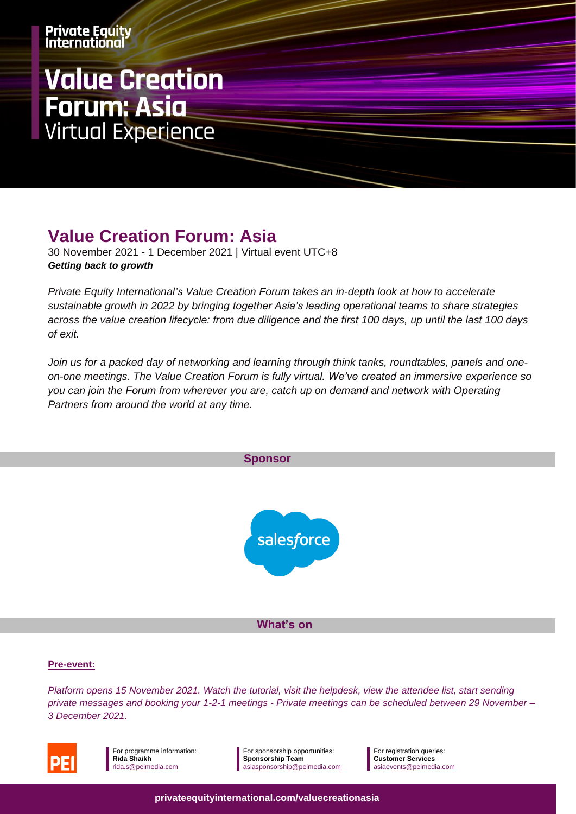# **Value Creation Forum: Asia<br>Virtual Experience**

## **Value Creation Forum: Asia**

30 November 2021 - 1 December 2021 | Virtual event UTC+8 *Getting back to growth*

*Private Equity International's Value Creation Forum takes an in-depth look at how to accelerate sustainable growth in 2022 by bringing together Asia's leading operational teams to share strategies across the value creation lifecycle: from due diligence and the first 100 days, up until the last 100 days of exit.* 

*Join us for a packed day of networking and learning through think tanks, roundtables, panels and oneon-one meetings. The Value Creation Forum is fully virtual. We've created an immersive experience so you can join the Forum from wherever you are, catch up on demand and network with Operating Partners from around the world at any time.*





For programme information: **Rida Shaikh** [rida.s@peimedia.com](mailto:rida.s@peimedia.com)

For sponsorship opportunities: **Sponsorship Team** [asiasponsorship@peimedia.com](mailto:asiasponsorship@peimedia.com) For registration queries: **Customer Services** [asiaevents@peimedia.com](mailto:asiaevents@peimedia.com)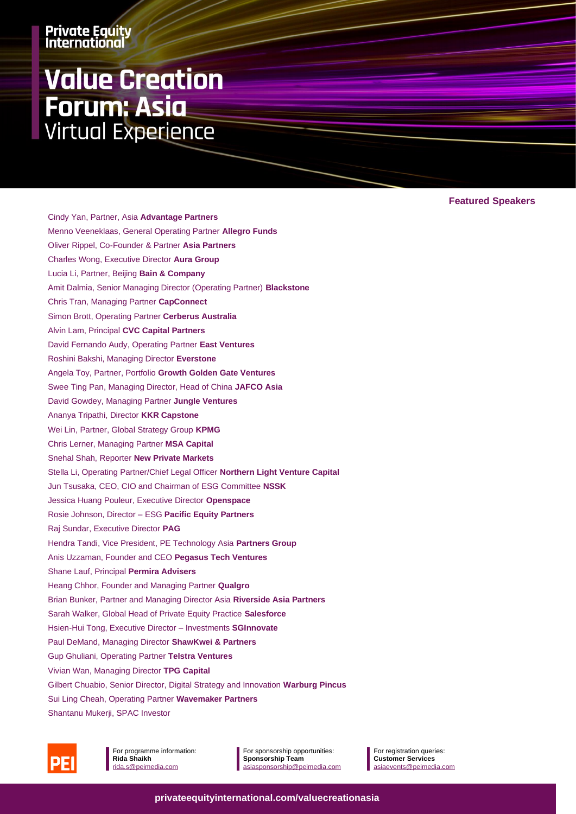# **Value Creation Forum: Asia Virtual Experience**

**Featured Speakers**

Cindy Yan, Partner, Asia **Advantage Partners** Menno Veeneklaas, General Operating Partner **Allegro Funds** Oliver Rippel, Co-Founder & Partner **Asia Partners** Charles Wong, Executive Director **Aura Group** Lucia Li, Partner, Beijing **Bain & Company** Amit Dalmia, Senior Managing Director (Operating Partner) **Blackstone** Chris Tran, Managing Partner **CapConnect**  Simon Brott, Operating Partner **Cerberus Australia** Alvin Lam, Principal **CVC Capital Partners** David Fernando Audy, Operating Partner **East Ventures** Roshini Bakshi, Managing Director **Everstone**  Angela Toy, Partner, Portfolio **Growth Golden Gate Ventures** Swee Ting Pan, Managing Director, Head of China **JAFCO Asia** David Gowdey, Managing Partner **Jungle Ventures** Ananya Tripathi, Director **KKR Capstone** Wei Lin, Partner, Global Strategy Group **KPMG** Chris Lerner, Managing Partner **MSA Capital** Snehal Shah, Reporter **New Private Markets**  Stella Li, Operating Partner/Chief Legal Officer **Northern Light Venture Capital** Jun Tsusaka, CEO, CIO and Chairman of ESG Committee **NSSK** Jessica Huang Pouleur, Executive Director **Openspace** Rosie Johnson, Director – ESG **Pacific Equity Partners** Raj Sundar, Executive Director **PAG** Hendra Tandi, Vice President, PE Technology Asia **Partners Group** Anis Uzzaman, Founder and CEO **Pegasus Tech Ventures** Shane Lauf, Principal **Permira Advisers** Heang Chhor, Founder and Managing Partner **Qualgro** [Brian Bunker,](https://www.peievents.com/en/event/value-creation-forum-asia/speakers/#modal) Partner and Managing Director Asia **Riverside Asia Partners** Sarah Walker, Global Head of Private Equity Practice **Salesforce** Hsien-Hui Tong, Executive Director – Investments **SGInnovate** Paul DeMand, Managing Director **ShawKwei & Partners** Gup Ghuliani, Operating Partner **Telstra Ventures** Vivian Wan, Managing Director **TPG Capital** Gilbert Chuabio, Senior Director, Digital Strategy and Innovation **Warburg Pincus** Sui Ling Cheah, Operating Partner **Wavemaker Partners** Shantanu Mukerji, SPAC Investor



For programme information: **Rida Shaikh** [rida.s@peimedia.com](mailto:rida.s@peimedia.com)

For sponsorship opportunities: **Sponsorship Team** [asiasponsorship@peimedia.com](mailto:asiasponsorship@peimedia.com)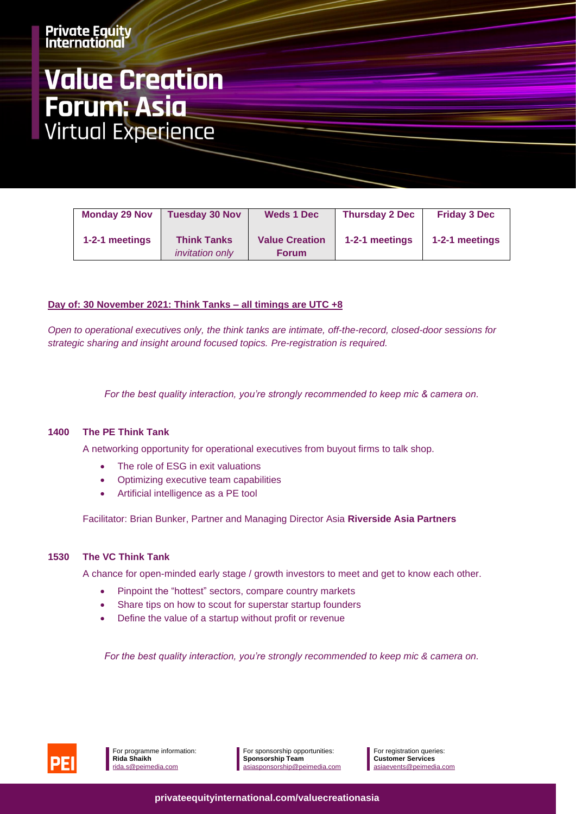# **Value Creation Forum: Asia<br>Virtual Experience**

| <b>Monday 29 Nov</b> | <b>Tuesday 30 Nov</b>                        | <b>Weds 1 Dec</b>                     | <b>Thursday 2 Dec</b> | <b>Friday 3 Dec</b> |
|----------------------|----------------------------------------------|---------------------------------------|-----------------------|---------------------|
| 1-2-1 meetings       | <b>Think Tanks</b><br><i>invitation only</i> | <b>Value Creation</b><br><b>Forum</b> | 1-2-1 meetings        | 1-2-1 meetings      |

#### **Day of: 30 November 2021: Think Tanks – all timings are UTC +8**

*Open to operational executives only, the think tanks are intimate, off-the-record, closed-door sessions for strategic sharing and insight around focused topics. Pre-registration is required.* 

*For the best quality interaction, you're strongly recommended to keep mic & camera on.*

#### **1400 The PE Think Tank**

A networking opportunity for operational executives from buyout firms to talk shop.

- The role of ESG in exit valuations
- Optimizing executive team capabilities
- Artificial intelligence as a PE tool

Facilitator: [Brian Bunker,](https://www.peievents.com/en/event/value-creation-forum-asia/speakers/#modal) Partner and Managing Director Asia **Riverside Asia Partners**

#### **1530 The VC Think Tank**

A chance for open-minded early stage / growth investors to meet and get to know each other.

- Pinpoint the "hottest" sectors, compare country markets
- Share tips on how to scout for superstar startup founders
- Define the value of a startup without profit or revenue

*For the best quality interaction, you're strongly recommended to keep mic & camera on.*

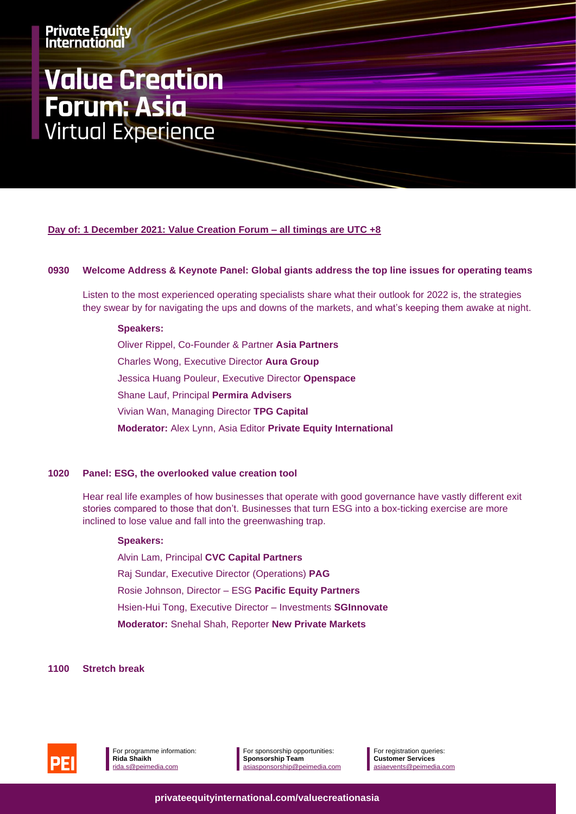# **Value Creation Forum: Asia<br>Virtual Experience**

**Day of: 1 December 2021: Value Creation Forum – all timings are UTC +8**

#### **0930 Welcome Address & Keynote Panel: Global giants address the top line issues for operating teams**

Listen to the most experienced operating specialists share what their outlook for 2022 is, the strategies they swear by for navigating the ups and downs of the markets, and what's keeping them awake at night.

#### **Speakers:**

Oliver Rippel, Co-Founder & Partner **Asia Partners** Charles Wong, Executive Director **Aura Group** Jessica Huang Pouleur, Executive Director **Openspace** Shane Lauf, Principal **Permira Advisers** Vivian Wan, Managing Director **TPG Capital Moderator:** Alex Lynn, Asia Editor **Private Equity International** 

#### **1020 Panel: ESG, the overlooked value creation tool**

Hear real life examples of how businesses that operate with good governance have vastly different exit stories compared to those that don't. Businesses that turn ESG into a box-ticking exercise are more inclined to lose value and fall into the greenwashing trap.

#### **Speakers:**

Alvin Lam, Principal **CVC Capital Partners** Raj Sundar, Executive Director (Operations) **PAG** Rosie Johnson, Director – ESG **Pacific Equity Partners** Hsien-Hui Tong, Executive Director – Investments **SGInnovate Moderator:** Snehal Shah, Reporter **New Private Markets** 

#### **1100 Stretch break**



For programme information: **Rida Shaikh** [rida.s@peimedia.com](mailto:rida.s@peimedia.com)

For sponsorship opportunities: **Sponsorship Team** [asiasponsorship@peimedia.com](mailto:asiasponsorship@peimedia.com) For registration queries: **Customer Services** [asiaevents@peimedia.com](mailto:asiaevents@peimedia.com)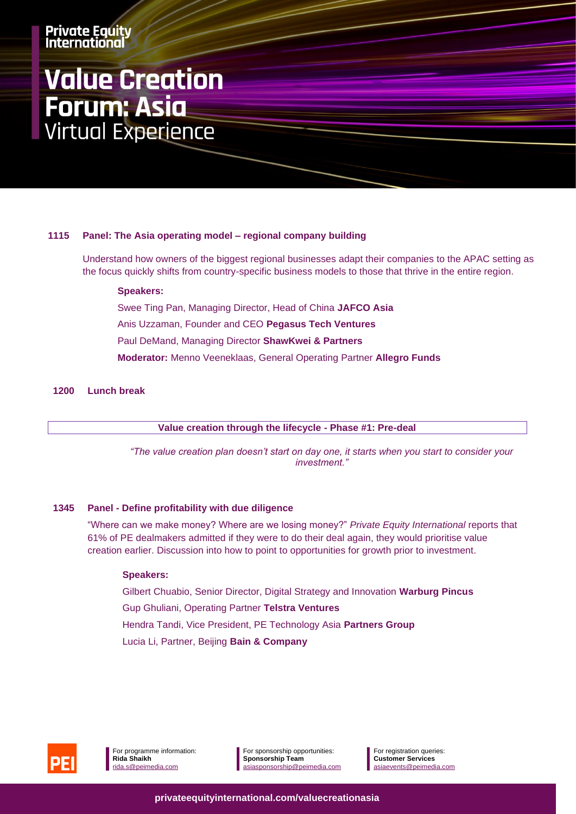# **Value Creation Forum: Asia<br>Virtual Experience**

#### **1115 Panel: The Asia operating model – regional company building**

Understand how owners of the biggest regional businesses adapt their companies to the APAC setting as the focus quickly shifts from country-specific business models to those that thrive in the entire region.

#### **Speakers:**

Swee Ting Pan, Managing Director, Head of China **JAFCO Asia** Anis Uzzaman, Founder and CEO **Pegasus Tech Ventures** Paul DeMand, Managing Director **ShawKwei & Partners Moderator:** Menno Veeneklaas, General Operating Partner **Allegro Funds**

#### **1200 Lunch break**

**Value creation through the lifecycle - Phase #1: Pre-deal**

*"The value creation plan doesn't start on day one, it starts when you start to consider your investment."*

#### **1345 Panel - Define profitability with due diligence**

"Where can we make money? Where are we losing money?" *Private Equity International* reports that 61% of PE dealmakers admitted if they were to do their deal again, they would prioritise value creation earlier. Discussion into how to point to opportunities for growth prior to investment.

#### **Speakers:**

Gilbert Chuabio, Senior Director, Digital Strategy and Innovation **Warburg Pincus**

Gup Ghuliani, Operating Partner **Telstra Ventures**

Hendra Tandi, Vice President, PE Technology Asia **Partners Group**

Lucia Li, Partner, Beijing **Bain & Company**



For sponsorship opportunities: **Sponsorship Team** [asiasponsorship@peimedia.com](mailto:asiasponsorship@peimedia.com)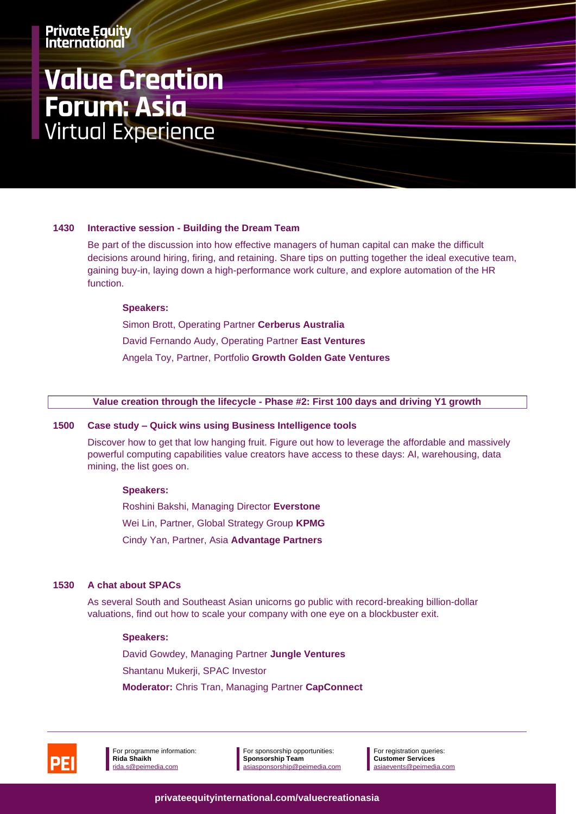# **Value Creation Forum: Asia<br>Virtual Experience**

#### **1430 Interactive session - Building the Dream Team**

Be part of the discussion into how effective managers of human capital can make the difficult decisions around hiring, firing, and retaining. Share tips on putting together the ideal executive team, gaining buy-in, laying down a high-performance work culture, and explore automation of the HR function.

#### **Speakers:**

Simon Brott, Operating Partner **Cerberus Australia** David Fernando Audy, Operating Partner **East Ventures** Angela Toy, Partner, Portfolio **Growth Golden Gate Ventures**

#### **Value creation through the lifecycle - Phase #2: First 100 days and driving Y1 growth**

#### **1500 Case study – Quick wins using Business Intelligence tools**

Discover how to get that low hanging fruit. Figure out how to leverage the affordable and massively powerful computing capabilities value creators have access to these days: AI, warehousing, data mining, the list goes on.

#### **Speakers:**

Roshini Bakshi, Managing Director **Everstone**  Wei Lin, Partner, Global Strategy Group **KPMG** Cindy Yan, Partner, Asia **Advantage Partners**

#### **1530 A chat about SPACs**

As several South and Southeast Asian unicorns go public with record-breaking billion-dollar valuations, find out how to scale your company with one eye on a blockbuster exit.

#### **Speakers:**

David Gowdey, Managing Partner **Jungle Ventures** Shantanu Mukerji, SPAC Investor **Moderator:** Chris Tran, Managing Partner **CapConnect** 



For programme information: **Rida Shaikh** [rida.s@peimedia.com](mailto:rida.s@peimedia.com)

For sponsorship opportunities: **Sponsorship Team** [asiasponsorship@peimedia.com](mailto:asiasponsorship@peimedia.com) For registration queries: **Customer Services** [asiaevents@peimedia.com](mailto:asiaevents@peimedia.com)